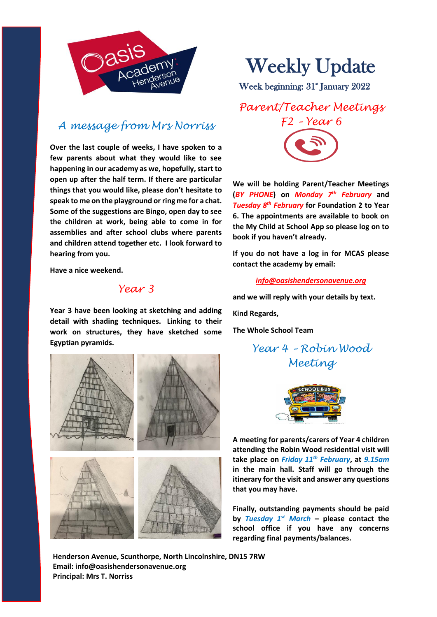

## *A message from Mrs Norriss*

**Over the last couple of weeks, I have spoken to a few parents about what they would like to see happening in our academy as we, hopefully, start to open up after the half term. If there are particular things that you would like, please don't hesitate to speak to me on the playground or ring me for a chat. Some of the suggestions are Bingo, open day to see the children at work, being able to come in for assemblies and after school clubs where parents and children attend together etc. I look forward to hearing from you.**

**Have a nice weekend.**

## *Year 3*

**Year 3 have been looking at sketching and adding detail with shading techniques. Linking to their work on structures, they have sketched some Egyptian pyramids.**



Weekly Update

Week beginning: 31 January 2022

*Parent/Teacher Meetings F2 – Year 6*

**We will be holding Parent/Teacher Meetings (***BY PHONE***) on** *Monday 7th February* **and**  *Tuesday 8th February* **for Foundation 2 to Year 6. The appointments are available to book on the My Child at School App so please log on to book if you haven't already.** 

**If you do not have a log in for MCAS please contact the academy by email:**

*[info@oasishendersonavenue.org](mailto:info@oasishendersonavenue.org)*

**and we will reply with your details by text.** 

**Kind Regards,** 

**The Whole School Team**

*Year 4 – Robin Wood Meeting*



**A meeting for parents/carers of Year 4 children attending the Robin Wood residential visit will take place on** *Friday 11th February***, at** *9.15am* **in the main hall. Staff will go through the itinerary for the visit and answer any questions that you may have.** 

**Finally, outstanding payments should be paid by** *Tuesday 1st March* **– please contact the school office if you have any concerns regarding final payments/balances.**

**Henderson Avenue, Scunthorpe, North Lincolnshire, DN15 7RW Email: info@oasishendersonavenue.org Principal: Mrs T. Norriss**